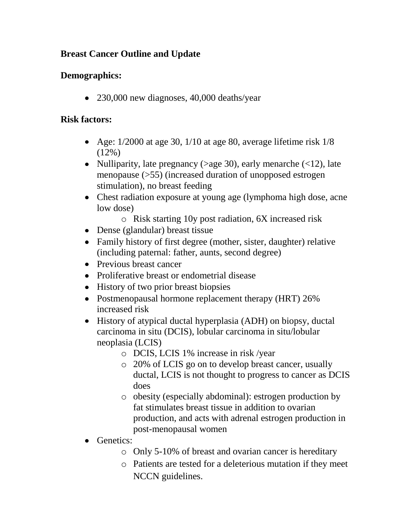# **Breast Cancer Outline and Update**

## **Demographics:**

• 230,000 new diagnoses, 40,000 deaths/year

## **Risk factors:**

- Age:  $1/2000$  at age 30,  $1/10$  at age 80, average lifetime risk  $1/8$  $(12\%)$
- Nulliparity, late pregnancy ( $>$ age 30), early menarche ( $<$ 12), late menopause (>55) (increased duration of unopposed estrogen stimulation), no breast feeding
- Chest radiation exposure at young age (lymphoma high dose, acne low dose)
	- o Risk starting 10y post radiation, 6X increased risk
- Dense (glandular) breast tissue
- Family history of first degree (mother, sister, daughter) relative (including paternal: father, aunts, second degree)
- Previous breast cancer
- Proliferative breast or endometrial disease
- History of two prior breast biopsies
- Postmenopausal hormone replacement therapy (HRT) 26% increased risk
- History of atypical ductal hyperplasia (ADH) on biopsy, ductal carcinoma in situ (DCIS), lobular carcinoma in situ/lobular neoplasia (LCIS)
	- o DCIS, LCIS 1% increase in risk /year
	- o 20% of LCIS go on to develop breast cancer, usually ductal, LCIS is not thought to progress to cancer as DCIS does
	- o obesity (especially abdominal): estrogen production by fat stimulates breast tissue in addition to ovarian production, and acts with adrenal estrogen production in post-menopausal women
- Genetics:
	- o Only 5-10% of breast and ovarian cancer is hereditary
	- o Patients are tested for a deleterious mutation if they meet NCCN guidelines.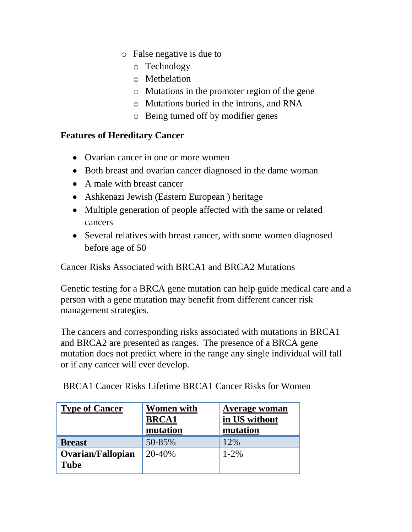- o False negative is due to
	- o Technology
	- o Methelation
	- o Mutations in the promoter region of the gene
	- o Mutations buried in the introns, and RNA
	- o Being turned off by modifier genes

#### **Features of Hereditary Cancer**

- Ovarian cancer in one or more women
- Both breast and ovarian cancer diagnosed in the dame woman
- A male with breast cancer
- Ashkenazi Jewish (Eastern European ) heritage
- Multiple generation of people affected with the same or related cancers
- Several relatives with breast cancer, with some women diagnosed before age of 50

Cancer Risks Associated with BRCA1 and BRCA2 Mutations

Genetic testing for a BRCA gene mutation can help guide medical care and a person with a gene mutation may benefit from different cancer risk management strategies.

The cancers and corresponding risks associated with mutations in BRCA1 and BRCA2 are presented as ranges. The presence of a BRCA gene mutation does not predict where in the range any single individual will fall or if any cancer will ever develop.

BRCA1 Cancer Risks Lifetime BRCA1 Cancer Risks for Women

| <b>Type of Cancer</b>            | <b>Women with</b><br><b>BRCA1</b><br>mutation | <b>Average woman</b><br>in US without<br>mutation |
|----------------------------------|-----------------------------------------------|---------------------------------------------------|
| <b>Breast</b>                    | 50-85%                                        | 12%                                               |
| Ovarian/Fallopian<br><b>Tube</b> | 20-40%                                        | $1 - 2\%$                                         |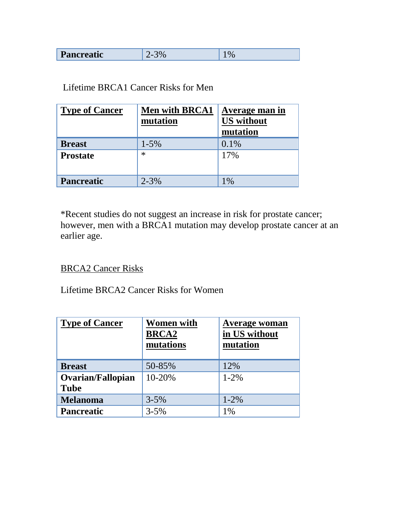|  | Pancreatic |  |  |
|--|------------|--|--|
|--|------------|--|--|

#### Lifetime BRCA1 Cancer Risks for Men

| <b>Type of Cancer</b> | <b>Men with BRCA1</b><br>mutation | Average man in<br><b>US</b> without<br>mutation |
|-----------------------|-----------------------------------|-------------------------------------------------|
| <b>Breast</b>         | $1 - 5\%$                         | 0.1%                                            |
| <b>Prostate</b>       | $\ast$                            | 17%                                             |
| <b>Pancreatic</b>     | $2 - 3%$                          | $1\%$                                           |

\*Recent studies do not suggest an increase in risk for prostate cancer; however, men with a BRCA1 mutation may develop prostate cancer at an earlier age.

## BRCA2 Cancer Risks

Lifetime BRCA2 Cancer Risks for Women

| <b>Type of Cancer</b>                   | <b>Women with</b><br><b>BRCA2</b><br>mutations | <b>Average woman</b><br>in US without<br>mutation |
|-----------------------------------------|------------------------------------------------|---------------------------------------------------|
| <b>Breast</b>                           | 50-85%                                         | 12%                                               |
| <b>Ovarian/Fallopian</b><br><b>Tube</b> | $10 - 20%$                                     | $1 - 2\%$                                         |
| <b>Melanoma</b>                         | $3 - 5%$                                       | $1 - 2\%$                                         |
| <b>Pancreatic</b>                       | $3 - 5%$                                       | 1%                                                |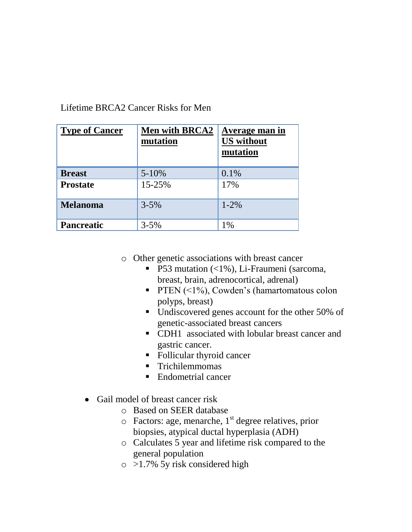| Lifetime BRCA2 Cancer Risks for Men |
|-------------------------------------|
|-------------------------------------|

| <b>Type of Cancer</b> | <b>Men with BRCA2</b><br>mutation | Average man in<br><b>US</b> without<br>mutation |
|-----------------------|-----------------------------------|-------------------------------------------------|
| <b>Breast</b>         | $5 - 10%$                         | $0.1\%$                                         |
| <b>Prostate</b>       | 15-25%                            | 17%                                             |
| <b>Melanoma</b>       | $3 - 5\%$                         | $1 - 2\%$                                       |
| <b>Pancreatic</b>     | $3 - 5\%$                         | 1%                                              |

- o Other genetic associations with breast cancer
	- **P53** mutation  $\langle$  1%), Li-Fraumeni (sarcoma, breast, brain, adrenocortical, adrenal)
	- **PTEN**  $(\leq 1\%)$ , Cowden's (hamartomatous colon polyps, breast)
	- Undiscovered genes account for the other 50% of genetic-associated breast cancers
	- CDH1 associated with lobular breast cancer and gastric cancer.
	- Follicular thyroid cancer
	- **Trichilemmomas**
	- Endometrial cancer
- Gail model of breast cancer risk  $\bullet$ 
	- o Based on SEER database
	- $\circ$  Factors: age, menarche, 1<sup>st</sup> degree relatives, prior biopsies, atypical ductal hyperplasia (ADH)
	- o Calculates 5 year and lifetime risk compared to the general population
	- o >1.7% 5y risk considered high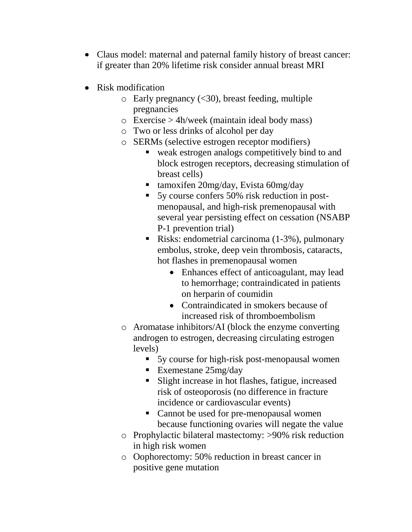- Claus model: maternal and paternal family history of breast cancer: if greater than 20% lifetime risk consider annual breast MRI
- Risk modification
	- $\circ$  Early pregnancy (<30), breast feeding, multiple pregnancies
	- o Exercise > 4h/week (maintain ideal body mass)
	- o Two or less drinks of alcohol per day
	- o SERMs (selective estrogen receptor modifiers)
		- weak estrogen analogs competitively bind to and block estrogen receptors, decreasing stimulation of breast cells)
		- $\blacksquare$  tamoxifen 20mg/day, Evista 60mg/day
		- 5y course confers 50% risk reduction in postmenopausal, and high-risk premenopausal with several year persisting effect on cessation (NSABP P-1 prevention trial)
		- Risks: endometrial carcinoma (1-3%), pulmonary embolus, stroke, deep vein thrombosis, cataracts, hot flashes in premenopausal women
			- Enhances effect of anticoagulant, may lead to hemorrhage; contraindicated in patients on herparin of coumidin
			- Contraindicated in smokers because of increased risk of thromboembolism
	- o Aromatase inhibitors/AI (block the enzyme converting androgen to estrogen, decreasing circulating estrogen levels)
		- 5y course for high-risk post-menopausal women
		- Exemestane 25mg/day
		- Slight increase in hot flashes, fatigue, increased risk of osteoporosis (no difference in fracture incidence or cardiovascular events)
		- Cannot be used for pre-menopausal women because functioning ovaries will negate the value
	- o Prophylactic bilateral mastectomy: >90% risk reduction in high risk women
	- o Oophorectomy: 50% reduction in breast cancer in positive gene mutation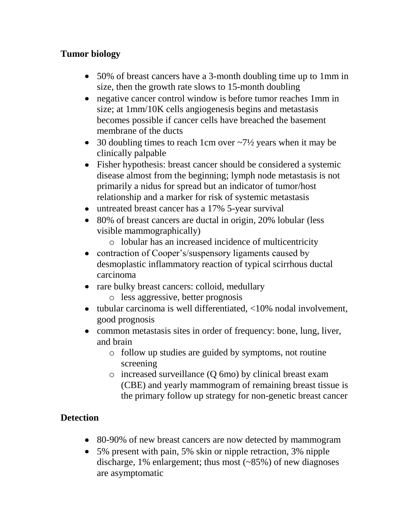# **Tumor biology**

- 50% of breast cancers have a 3-month doubling time up to 1mm in size, then the growth rate slows to 15-month doubling
- negative cancer control window is before tumor reaches 1mm in size; at 1mm/10K cells angiogenesis begins and metastasis becomes possible if cancer cells have breached the basement membrane of the ducts
- 30 doubling times to reach 1cm over  $\sim$ 7½ years when it may be clinically palpable
- Fisher hypothesis: breast cancer should be considered a systemic disease almost from the beginning; lymph node metastasis is not primarily a nidus for spread but an indicator of tumor/host relationship and a marker for risk of systemic metastasis
- untreated breast cancer has a 17% 5-year survival
- 80% of breast cancers are ductal in origin, 20% lobular (less visible mammographically)
	- o lobular has an increased incidence of multicentricity
- contraction of Cooper's/suspensory ligaments caused by  $\bullet$ desmoplastic inflammatory reaction of typical scirrhous ductal carcinoma
- rare bulky breast cancers: colloid, medullary o less aggressive, better prognosis
- $\bullet$  tubular carcinoma is well differentiated,  $\langle 10\% \text{ nodal involvement.} \rangle$ good prognosis
- common metastasis sites in order of frequency: bone, lung, liver, and brain
	- o follow up studies are guided by symptoms, not routine screening
	- o increased surveillance (Q 6mo) by clinical breast exam (CBE) and yearly mammogram of remaining breast tissue is the primary follow up strategy for non-genetic breast cancer

# **Detection**

- 80-90% of new breast cancers are now detected by mammogram
- 5% present with pain, 5% skin or nipple retraction, 3% nipple discharge, 1% enlargement; thus most (~85%) of new diagnoses are asymptomatic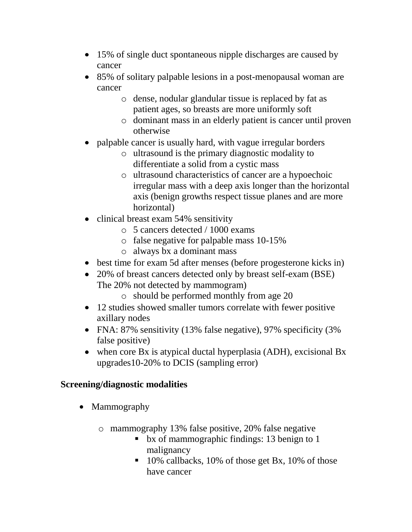- 15% of single duct spontaneous nipple discharges are caused by cancer
- 85% of solitary palpable lesions in a post-menopausal woman are cancer
	- o dense, nodular glandular tissue is replaced by fat as patient ages, so breasts are more uniformly soft
	- o dominant mass in an elderly patient is cancer until proven otherwise
- palpable cancer is usually hard, with vague irregular borders
	- o ultrasound is the primary diagnostic modality to differentiate a solid from a cystic mass
	- o ultrasound characteristics of cancer are a hypoechoic irregular mass with a deep axis longer than the horizontal axis (benign growths respect tissue planes and are more horizontal)
- clinical breast exam 54% sensitivity
	- o 5 cancers detected / 1000 exams
	- o false negative for palpable mass 10-15%
	- o always bx a dominant mass
- best time for exam 5d after menses (before progesterone kicks in)
- 20% of breast cancers detected only by breast self-exam (BSE) The 20% not detected by mammogram)
	- o should be performed monthly from age 20
- 12 studies showed smaller tumors correlate with fewer positive axillary nodes
- FNA: 87% sensitivity (13% false negative), 97% specificity (3%) false positive)
- when core Bx is atypical ductal hyperplasia (ADH), excisional Bx upgrades10-20% to DCIS (sampling error)

# **Screening/diagnostic modalities**

- Mammography
	- o mammography 13% false positive, 20% false negative
		- **b** bx of mammographic findings: 13 benign to 1 malignancy
		- 10% callbacks, 10% of those get Bx, 10% of those have cancer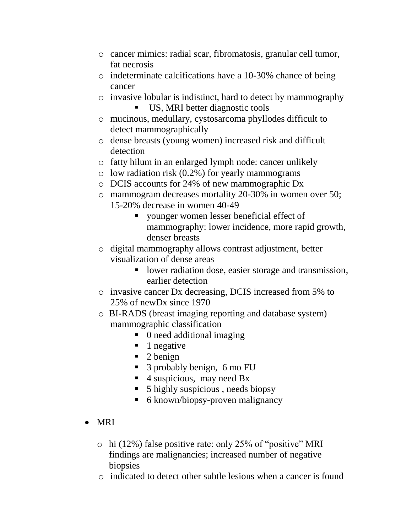- o cancer mimics: radial scar, fibromatosis, granular cell tumor, fat necrosis
- o indeterminate calcifications have a 10-30% chance of being cancer
- o invasive lobular is indistinct, hard to detect by mammography
	- US, MRI better diagnostic tools
- o mucinous, medullary, cystosarcoma phyllodes difficult to detect mammographically
- o dense breasts (young women) increased risk and difficult detection
- o fatty hilum in an enlarged lymph node: cancer unlikely
- $\circ$  low radiation risk (0.2%) for yearly mammograms
- o DCIS accounts for 24% of new mammographic Dx
- o mammogram decreases mortality 20-30% in women over 50; 15-20% decrease in women 40-49
	- younger women lesser beneficial effect of mammography: lower incidence, more rapid growth, denser breasts
- o digital mammography allows contrast adjustment, better visualization of dense areas
	- **I** lower radiation dose, easier storage and transmission, earlier detection
- o invasive cancer Dx decreasing, DCIS increased from 5% to 25% of newDx since 1970
- o BI-RADS (breast imaging reporting and database system) mammographic classification
	- 0 need additional imaging
	- $\blacksquare$  1 negative
	- $\blacksquare$  2 benign
	- 3 probably benign, 6 mo FU
	- $\blacksquare$  4 suspicious, may need Bx
	- 5 highly suspicious , needs biopsy
	- 6 known/biopsy-proven malignancy
- MRI
	- o hi (12%) false positive rate: only 25% of "positive" MRI findings are malignancies; increased number of negative biopsies
	- o indicated to detect other subtle lesions when a cancer is found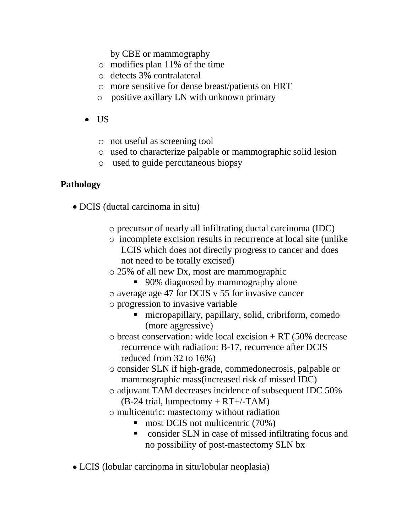by CBE or mammography

- o modifies plan 11% of the time
- o detects 3% contralateral
- o more sensitive for dense breast/patients on HRT
- o positive axillary LN with unknown primary
- $\bullet$  US
	- o not useful as screening tool
	- o used to characterize palpable or mammographic solid lesion
	- o used to guide percutaneous biopsy

## **Pathology**

- DCIS (ductal carcinoma in situ)
	- o precursor of nearly all infiltrating ductal carcinoma (IDC)
	- o incomplete excision results in recurrence at local site (unlike LCIS which does not directly progress to cancer and does not need to be totally excised)
	- o 25% of all new Dx, most are mammographic
		- 90% diagnosed by mammography alone
	- o average age 47 for DCIS v 55 for invasive cancer
	- o progression to invasive variable
		- micropapillary, papillary, solid, cribriform, comedo (more aggressive)
	- $\circ$  breast conservation: wide local excision + RT (50% decrease) recurrence with radiation: B-17, recurrence after DCIS reduced from 32 to 16%)
	- o consider SLN if high-grade, commedonecrosis, palpable or mammographic mass(increased risk of missed IDC)
	- o adjuvant TAM decreases incidence of subsequent IDC 50%  $(B-24 \text{ trial}, \text{lumped} + RT+/-TAM)$
	- o multicentric: mastectomy without radiation
		- $\blacksquare$  most DCIS not multicentric (70%)
		- consider SLN in case of missed infiltrating focus and no possibility of post-mastectomy SLN bx
- LCIS (lobular carcinoma in situ/lobular neoplasia)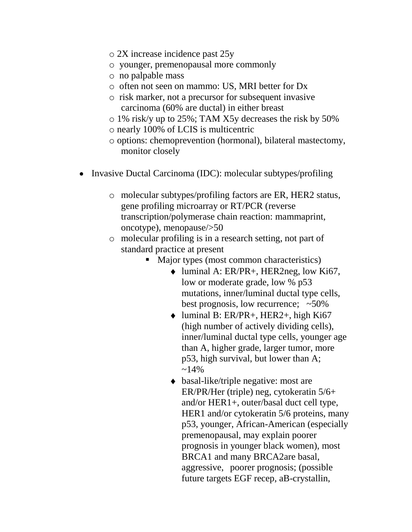- o 2X increase incidence past 25y
- o younger, premenopausal more commonly
- o no palpable mass
- o often not seen on mammo: US, MRI better for Dx
- o risk marker, not a precursor for subsequent invasive carcinoma (60% are ductal) in either breast
- o 1% risk/y up to 25%; TAM X5y decreases the risk by 50%
- o nearly 100% of LCIS is multicentric
- o options: chemoprevention (hormonal), bilateral mastectomy, monitor closely
- $\bullet$ Invasive Ductal Carcinoma (IDC): molecular subtypes/profiling
	- o molecular subtypes/profiling factors are ER, HER2 status, gene profiling microarray or RT/PCR (reverse transcription/polymerase chain reaction: mammaprint, oncotype), menopause/>50
	- o molecular profiling is in a research setting, not part of standard practice at present
		- Major types (most common characteristics)
			- luminal A: ER/PR+, HER2neg, low Ki67, low or moderate grade, low % p53 mutations, inner/luminal ductal type cells, best prognosis, low recurrence;  $~50\%$
			- $\bullet$  luminal B: ER/PR+, HER2+, high Ki67 (high number of actively dividing cells), inner/luminal ductal type cells, younger age than A, higher grade, larger tumor, more p53, high survival, but lower than A;  $~14\%$
			- basal-like/triple negative: most are ER/PR/Her (triple) neg, cytokeratin 5/6+ and/or HER1+, outer/basal duct cell type, HER1 and/or cytokeratin 5/6 proteins, many p53, younger, African-American (especially premenopausal, may explain poorer prognosis in younger black women), most BRCA1 and many BRCA2are basal, aggressive, poorer prognosis; (possible future targets EGF recep, aB-crystallin,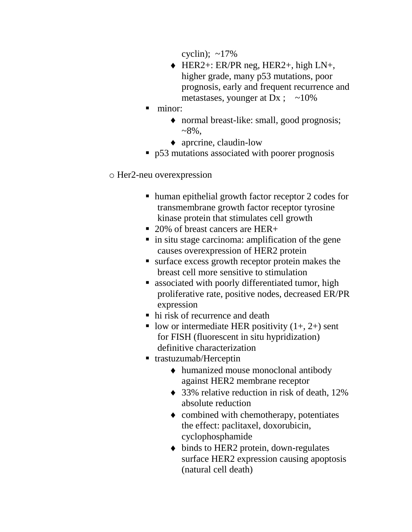cyclin);  $\sim$ 17%

- HER2+: ER/PR neg, HER2+, high LN+, higher grade, many p53 mutations, poor prognosis, early and frequent recurrence and metastases, younger at Dx;  $\sim$ 10%
- minor:
	- normal breast-like: small, good prognosis;  $~8\%$ .
	- aprcrine, claudin-low
- p53 mutations associated with poorer prognosis

#### o Her2-neu overexpression

- human epithelial growth factor receptor 2 codes for transmembrane growth factor receptor tyrosine kinase protein that stimulates cell growth
- 20% of breast cancers are HER+
- $\blacksquare$  in situ stage carcinoma: amplification of the gene causes overexpression of HER2 protein
- surface excess growth receptor protein makes the breast cell more sensitive to stimulation
- **E** associated with poorly differentiated tumor, high proliferative rate, positive nodes, decreased ER/PR expression
- hi risk of recurrence and death
- low or intermediate HER positivity  $(1+, 2+)$  sent for FISH (fluorescent in situ hypridization) definitive characterization
- trastuzumab/Herceptin
	- humanized mouse monoclonal antibody against HER2 membrane receptor
	- ◆ 33% relative reduction in risk of death, 12% absolute reduction
	- combined with chemotherapy, potentiates the effect: paclitaxel, doxorubicin, cyclophosphamide
	- $\bullet$  binds to HER2 protein, down-regulates surface HER2 expression causing apoptosis (natural cell death)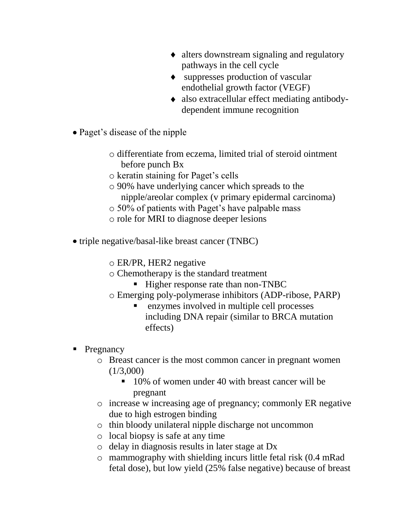- alters downstream signaling and regulatory pathways in the cell cycle
- suppresses production of vascular endothelial growth factor (VEGF)
- also extracellular effect mediating antibodydependent immune recognition
- Paget's disease of the nipple
	- o differentiate from eczema, limited trial of steroid ointment before punch Bx
	- o keratin staining for Paget's cells
	- o 90% have underlying cancer which spreads to the nipple/areolar complex (v primary epidermal carcinoma)
	- o 50% of patients with Paget's have palpable mass
	- o role for MRI to diagnose deeper lesions
- triple negative/basal-like breast cancer (TNBC)
	- o ER/PR, HER2 negative
	- o Chemotherapy is the standard treatment
		- Higher response rate than non-TNBC
	- o Emerging poly-polymerase inhibitors (ADP-ribose, PARP)
		- enzymes involved in multiple cell processes including DNA repair (similar to BRCA mutation effects)
- Pregnancy
	- o Breast cancer is the most common cancer in pregnant women  $(1/3,000)$ 
		- 10% of women under 40 with breast cancer will be pregnant
	- o increase w increasing age of pregnancy; commonly ER negative due to high estrogen binding
	- o thin bloody unilateral nipple discharge not uncommon
	- o local biopsy is safe at any time
	- o delay in diagnosis results in later stage at Dx
	- o mammography with shielding incurs little fetal risk (0.4 mRad fetal dose), but low yield (25% false negative) because of breast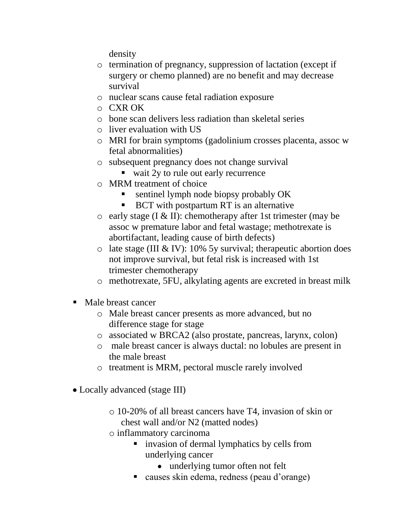density

- o termination of pregnancy, suppression of lactation (except if surgery or chemo planned) are no benefit and may decrease survival
- o nuclear scans cause fetal radiation exposure
- o CXR OK
- o bone scan delivers less radiation than skeletal series
- o liver evaluation with US
- o MRI for brain symptoms (gadolinium crosses placenta, assoc w fetal abnormalities)
- o subsequent pregnancy does not change survival
	- wait 2y to rule out early recurrence
- o MRM treatment of choice
	- sentinel lymph node biopsy probably OK
	- BCT with postpartum RT is an alternative
- $\circ$  early stage (I & II): chemotherapy after 1st trimester (may be assoc w premature labor and fetal wastage; methotrexate is abortifactant, leading cause of birth defects)
- $\circ$  late stage (III & IV): 10% 5y survival; therapeutic abortion does not improve survival, but fetal risk is increased with 1st trimester chemotherapy
- o methotrexate, 5FU, alkylating agents are excreted in breast milk
- Male breast cancer
	- o Male breast cancer presents as more advanced, but no difference stage for stage
	- o associated w BRCA2 (also prostate, pancreas, larynx, colon)
	- o male breast cancer is always ductal: no lobules are present in the male breast
	- o treatment is MRM, pectoral muscle rarely involved
- Locally advanced (stage III)
	- o 10-20% of all breast cancers have T4, invasion of skin or chest wall and/or N2 (matted nodes)
	- o inflammatory carcinoma
		- **u.** invasion of dermal lymphatics by cells from underlying cancer
			- underlying tumor often not felt
		- causes skin edema, redness (peau d'orange)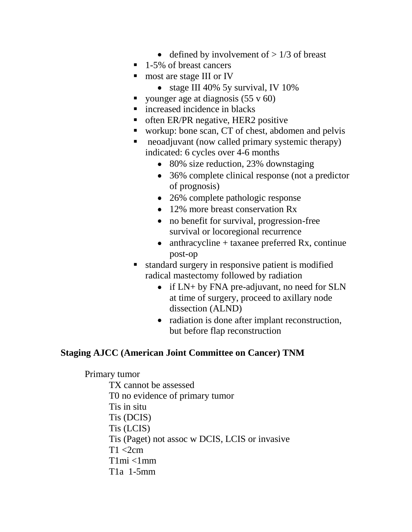- defined by involvement of  $> 1/3$  of breast
- 1-5% of breast cancers
- most are stage III or IV
	- stage III 40% 5y survival, IV 10%
- vounger age at diagnosis  $(55 \text{ y } 60)$
- **n** increased incidence in blacks
- **T** often ER/PR negative, HER2 positive
- workup: bone scan, CT of chest, abdomen and pelvis
- neoadjuvant (now called primary systemic therapy) indicated: 6 cycles over 4-6 months
	- 80% size reduction, 23% downstaging
	- 36% complete clinical response (not a predictor of prognosis)
	- 26% complete pathologic response
	- 12% more breast conservation Rx
	- no benefit for survival, progression-free survival or locoregional recurrence
	- anthracycline  $+$  taxanee preferred Rx, continue post-op
- standard surgery in responsive patient is modified radical mastectomy followed by radiation
	- if LN+ by FNA pre-adjuvant, no need for SLN at time of surgery, proceed to axillary node dissection (ALND)
	- radiation is done after implant reconstruction, but before flap reconstruction

## **Staging AJCC (American Joint Committee on Cancer) TNM**

#### Primary tumor

TX cannot be assessed T0 no evidence of primary tumor Tis in situ Tis (DCIS) Tis (LCIS) Tis (Paget) not assoc w DCIS, LCIS or invasive  $T1 < 2cm$  $T1mi < 1mm$ T1a 1-5mm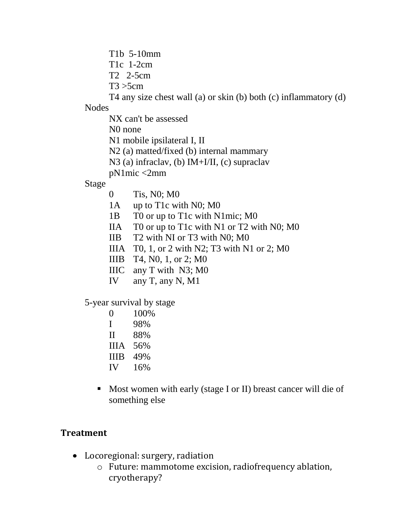T1b 5-10mm

T1c 1-2cm

T2 2-5cm

 $T3 > 5$ cm

T4 any size chest wall (a) or skin (b) both (c) inflammatory (d)

Nodes

NX can't be assessed

N0 none

N1 mobile ipsilateral I, II

N2 (a) matted/fixed (b) internal mammary

N3 (a) infraclav, (b) IM+I/II, (c) supraclav

pN1mic <2mm

Stage

- 0 Tis, N0; M0
- 1A up to T1c with N0; M0
- 1B T0 or up to T1c with N1mic; M0
- IIA T0 or up to T1c with N1 or T2 with N0; M0
- IIB T2 with NI or T3 with N0; M0
- IIIA T0, 1, or 2 with N2; T3 with N1 or 2; M0
- IIIB T4, N0, 1, or 2; M0
- IIIC any T with N3; M0
- IV any T, any N, M1

5-year survival by stage

- 0 100%
- I 98%
- II 88%
- IIIA 56%
- IIIB 49%
- IV 16%
- Most women with early (stage I or II) breast cancer will die of something else

# **Treatment**

- Locoregional: surgery, radiation
	- o Future: mammotome excision, radiofrequency ablation, cryotherapy?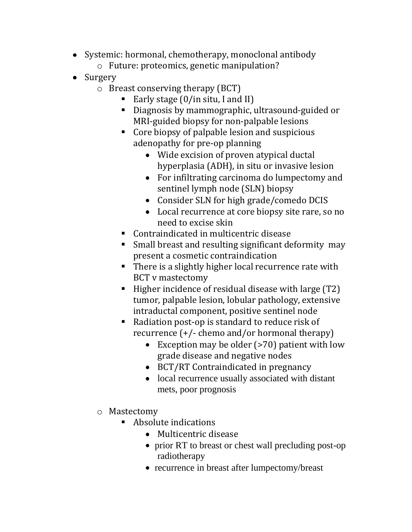- Systemic: hormonal, chemotherapy, monoclonal antibody o Future: proteomics, genetic manipulation?
- Surgery
	- o Breast conserving therapy (BCT)
		- Early stage  $(0/$ in situ, I and II)
		- Diagnosis by mammographic, ultrasound-guided or MRI-guided biopsy for non-palpable lesions
		- Core biopsy of palpable lesion and suspicious adenopathy for pre-op planning
			- Wide excision of proven atypical ductal hyperplasia (ADH), in situ or invasive lesion
			- For infiltrating carcinoma do lumpectomy and sentinel lymph node (SLN) biopsy
			- Consider SLN for high grade/comedo DCIS
			- Local recurrence at core biopsy site rare, so no need to excise skin
		- Contraindicated in multicentric disease
		- Small breast and resulting significant deformity may present a cosmetic contraindication
		- There is a slightly higher local recurrence rate with BCT v mastectomy
		- $\blacksquare$  Higher incidence of residual disease with large (T2) tumor, palpable lesion, lobular pathology, extensive intraductal component, positive sentinel node
		- Radiation post-op is standard to reduce risk of recurrence (+/- chemo and/or hormonal therapy)
			- Exception may be older (>70) patient with low grade disease and negative nodes
			- BCT/RT Contraindicated in pregnancy
			- local recurrence usually associated with distant mets, poor prognosis
	- o Mastectomy
		- Absolute indications
			- Multicentric disease
			- prior RT to breast or chest wall precluding post-op radiotherapy
			- recurrence in breast after lumpectomy/breast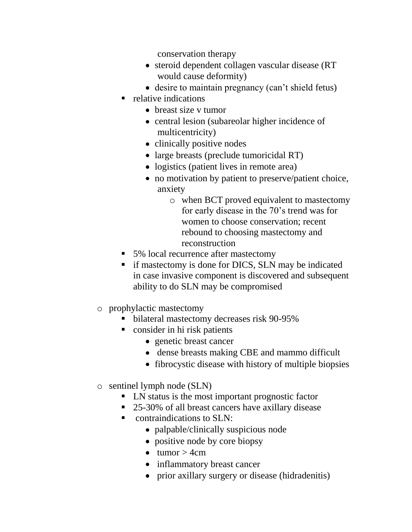conservation therapy

- steroid dependent collagen vascular disease (RT would cause deformity)
- desire to maintain pregnancy (can't shield fetus)
- $\blacksquare$  relative indications
	- breast size v tumor
	- central lesion (subareolar higher incidence of multicentricity)
	- clinically positive nodes
	- large breasts (preclude tumoricidal RT)
	- logistics (patient lives in remote area)
	- no motivation by patient to preserve/patient choice, anxiety
		- o when BCT proved equivalent to mastectomy for early disease in the 70's trend was for women to choose conservation; recent rebound to choosing mastectomy and reconstruction
- 5% local recurrence after mastectomy
- if mastectomy is done for DICS, SLN may be indicated in case invasive component is discovered and subsequent ability to do SLN may be compromised
- o prophylactic mastectomy
	- bilateral mastectomy decreases risk 90-95%
	- consider in hi risk patients
		- genetic breast cancer
		- dense breasts making CBE and mammo difficult
		- fibrocystic disease with history of multiple biopsies
- o sentinel lymph node (SLN)
	- LN status is the most important prognostic factor
	- 25-30% of all breast cancers have axillary disease
	- contraindications to SLN:
		- palpable/clinically suspicious node
		- positive node by core biopsy
		- $\bullet$  tumor  $> 4$ cm
		- inflammatory breast cancer
		- prior axillary surgery or disease (hidradenitis)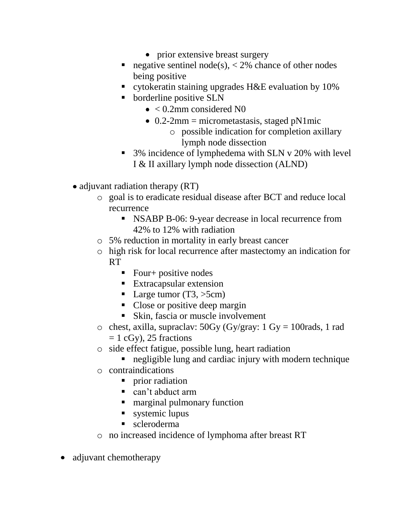- prior extensive breast surgery
- negative sentinel node(s),  $\langle 2\%$  chance of other nodes being positive
- cytokeratin staining upgrades H&E evaluation by 10%
- borderline positive SLN
	- $\bullet$  < 0.2mm considered N0
	- $\bullet$  0.2-2mm = micrometastasis, staged pN1mic
		- o possible indication for completion axillary lymph node dissection
- 3% incidence of lymphedema with SLN v 20% with level I & II axillary lymph node dissection (ALND)
- adjuvant radiation therapy (RT)
	- o goal is to eradicate residual disease after BCT and reduce local recurrence
		- **NSABP B-06: 9-year decrease in local recurrence from** 42% to 12% with radiation
	- o 5% reduction in mortality in early breast cancer
	- o high risk for local recurrence after mastectomy an indication for RT
		- Four+ positive nodes
		- **Extracapsular extension**
		- Large tumor  $(T3, >5cm)$
		- Close or positive deep margin
		- Skin, fascia or muscle involvement
	- o chest, axilla, supraclav:  $50Gy$  (Gy/gray: 1 Gy = 100 rads, 1 rad  $= 1$  cGy), 25 fractions
	- o side effect fatigue, possible lung, heart radiation
		- negligible lung and cardiac injury with modern technique
	- o contraindications
		- prior radiation
		- can't abduct arm
		- marginal pulmonary function
		- systemic lupus
		- scleroderma
	- o no increased incidence of lymphoma after breast RT
- adjuvant chemotherapy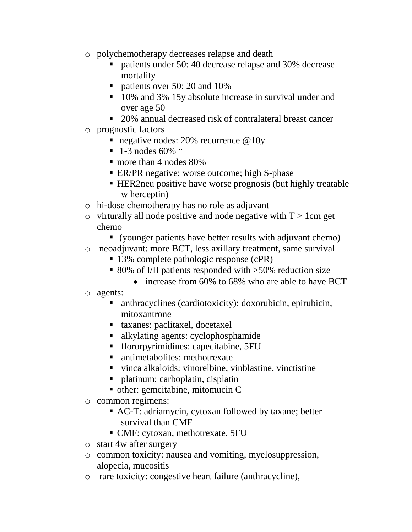- o polychemotherapy decreases relapse and death
	- numer 10:40 decrease relapse and 30% decrease mortality
	- patients over 50: 20 and 10%
	- 10% and 3% 15y absolute increase in survival under and over age 50
	- 20% annual decreased risk of contralateral breast cancer
- o prognostic factors
	- negative nodes: 20% recurrence @10y
	- $\blacksquare$  1-3 nodes 60% "
	- more than 4 nodes 80%
	- **ER/PR** negative: worse outcome; high S-phase
	- HER2neu positive have worse prognosis (but highly treatable w herceptin)
- o hi-dose chemotherapy has no role as adjuvant
- $\circ$  virturally all node positive and node negative with T > 1 cm get chemo
	- (younger patients have better results with adjuvant chemo)
- o neoadjuvant: more BCT, less axillary treatment, same survival
	- 13% complete pathologic response (cPR)
	- 80% of I/II patients responded with >50% reduction size
		- increase from 60% to 68% who are able to have BCT
- o agents:
	- anthracyclines (cardiotoxicity): doxorubicin, epirubicin, mitoxantrone
	- taxanes: paclitaxel, docetaxel
	- alkylating agents: cyclophosphamide
	- flororpyrimidines: capecitabine, 5FU
	- antimetabolites: methotrexate
	- vinca alkaloids: vinorelbine, vinblastine, vinctistine
	- platinum: carboplatin, cisplatin
	- other: gemcitabine, mitomucin C
- o common regimens:
	- AC-T: adriamycin, cytoxan followed by taxane; better survival than CMF
	- CMF: cytoxan, methotrexate, 5FU
- o start 4w after surgery
- o common toxicity: nausea and vomiting, myelosuppression, alopecia, mucositis
- o rare toxicity: congestive heart failure (anthracycline),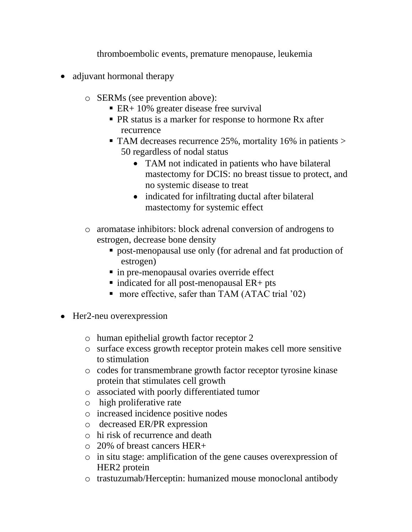thromboembolic events, premature menopause, leukemia

- adjuvant hormonal therapy
	- o SERMs (see prevention above):
		- $\blacksquare$  ER + 10% greater disease free survival
		- **PR** status is a marker for response to hormone Rx after recurrence
		- TAM decreases recurrence 25%, mortality 16% in patients > 50 regardless of nodal status
			- TAM not indicated in patients who have bilateral mastectomy for DCIS: no breast tissue to protect, and no systemic disease to treat
			- indicated for infiltrating ductal after bilateral mastectomy for systemic effect
	- o aromatase inhibitors: block adrenal conversion of androgens to estrogen, decrease bone density
		- post-menopausal use only (for adrenal and fat production of estrogen)
		- in pre-menopausal ovaries override effect
		- $\blacksquare$  indicated for all post-menopausal ER+ pts
		- more effective, safer than TAM (ATAC trial '02)
- Her2-neu overexpression
	- o human epithelial growth factor receptor 2
	- o surface excess growth receptor protein makes cell more sensitive to stimulation
	- o codes for transmembrane growth factor receptor tyrosine kinase protein that stimulates cell growth
	- o associated with poorly differentiated tumor
	- o high proliferative rate
	- o increased incidence positive nodes
	- o decreased ER/PR expression
	- o hi risk of recurrence and death
	- o 20% of breast cancers HER+
	- o in situ stage: amplification of the gene causes overexpression of HER2 protein
	- o trastuzumab/Herceptin: humanized mouse monoclonal antibody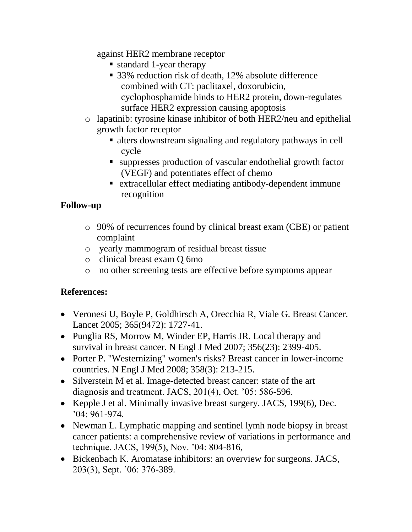against HER2 membrane receptor

- standard 1-year therapy
- 33% reduction risk of death, 12% absolute difference combined with CT: paclitaxel, doxorubicin, cyclophosphamide binds to HER2 protein, down-regulates surface HER2 expression causing apoptosis
- o lapatinib: tyrosine kinase inhibitor of both HER2/neu and epithelial growth factor receptor
	- alters downstream signaling and regulatory pathways in cell cycle
	- suppresses production of vascular endothelial growth factor (VEGF) and potentiates effect of chemo
	- extracellular effect mediating antibody-dependent immune recognition

# **Follow-up**

- o 90% of recurrences found by clinical breast exam (CBE) or patient complaint
- o yearly mammogram of residual breast tissue
- o clinical breast exam Q 6mo
- o no other screening tests are effective before symptoms appear

# **References:**

- Veronesi U, Boyle P, Goldhirsch A, Orecchia R, Viale G. Breast Cancer. Lancet 2005; 365(9472): 1727-41.
- Punglia RS, Morrow M, Winder EP, Harris JR. Local therapy and survival in breast cancer. N Engl J Med 2007; 356(23): 2399-405.
- Porter P. "Westernizing" women's risks? Breast cancer in lower-income countries. N Engl J Med 2008; 358(3): 213-215.
- Silverstein M et al. Image-detected breast cancer: state of the art diagnosis and treatment. JACS, 201(4), Oct. '05: 586-596.
- Kepple J et al. Minimally invasive breast surgery. JACS, 199(6), Dec. '04: 961-974.
- Newman L. Lymphatic mapping and sentinel lymh node biopsy in breast cancer patients: a comprehensive review of variations in performance and technique. JACS, 199(5), Nov. '04: 804-816,
- Bickenbach K. Aromatase inhibitors: an overview for surgeons. JACS, 203(3), Sept. '06: 376-389.